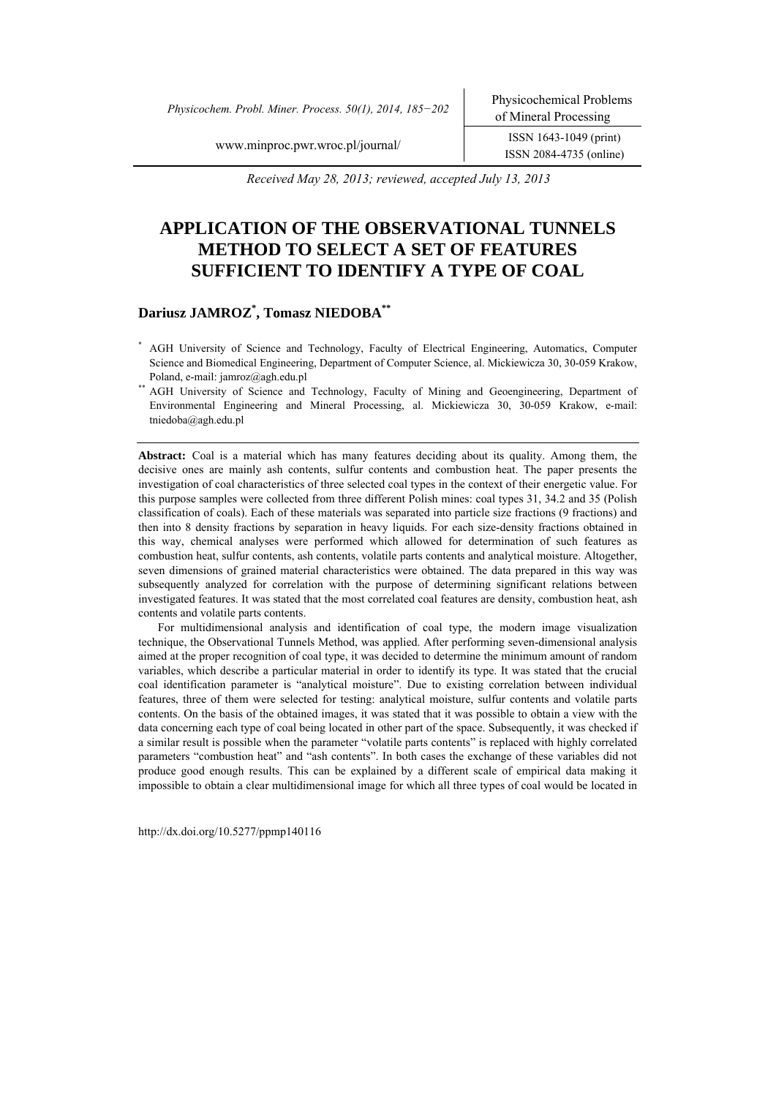*Physicochem. Probl. Miner. Process. 50(1), 2014, 185−202* Physicochemical Problems

ISSN 2084-4735 (online)

www.minproc.pwr.wroc.pl/journal/ ISSN 1643-1049 (print)

 *Received May 28, 2013; reviewed, accepted July 13, 2013* 

# **APPLICATION OF THE OBSERVATIONAL TUNNELS METHOD TO SELECT A SET OF FEATURES SUFFICIENT TO IDENTIFY A TYPE OF COAL**

### **Dariusz JAMROZ\* , Tomasz NIEDOBA\*\***

- \* AGH University of Science and Technology, Faculty of Electrical Engineering, Automatics, Computer Science and Biomedical Engineering, Department of Computer Science, al. Mickiewicza 30, 30-059 Krakow, Poland, e-mail: jamroz@agh.edu.pl<br>AGH University of Science and Technology, Faculty of Mining and Geoengineering, Department of
- Environmental Engineering and Mineral Processing, al. Mickiewicza 30, 30-059 Krakow, e-mail: tniedoba@agh.edu.pl

**Abstract:** Coal is a material which has many features deciding about its quality. Among them, the decisive ones are mainly ash contents, sulfur contents and combustion heat. The paper presents the investigation of coal characteristics of three selected coal types in the context of their energetic value. For this purpose samples were collected from three different Polish mines: coal types 31, 34.2 and 35 (Polish classification of coals). Each of these materials was separated into particle size fractions (9 fractions) and then into 8 density fractions by separation in heavy liquids. For each size-density fractions obtained in this way, chemical analyses were performed which allowed for determination of such features as combustion heat, sulfur contents, ash contents, volatile parts contents and analytical moisture. Altogether, seven dimensions of grained material characteristics were obtained. The data prepared in this way was subsequently analyzed for correlation with the purpose of determining significant relations between investigated features. It was stated that the most correlated coal features are density, combustion heat, ash contents and volatile parts contents.

For multidimensional analysis and identification of coal type, the modern image visualization technique, the Observational Tunnels Method, was applied. After performing seven-dimensional analysis aimed at the proper recognition of coal type, it was decided to determine the minimum amount of random variables, which describe a particular material in order to identify its type. It was stated that the crucial coal identification parameter is "analytical moisture". Due to existing correlation between individual features, three of them were selected for testing: analytical moisture, sulfur contents and volatile parts contents. On the basis of the obtained images, it was stated that it was possible to obtain a view with the data concerning each type of coal being located in other part of the space. Subsequently, it was checked if a similar result is possible when the parameter "volatile parts contents" is replaced with highly correlated parameters "combustion heat" and "ash contents". In both cases the exchange of these variables did not produce good enough results. This can be explained by a different scale of empirical data making it impossible to obtain a clear multidimensional image for which all three types of coal would be located in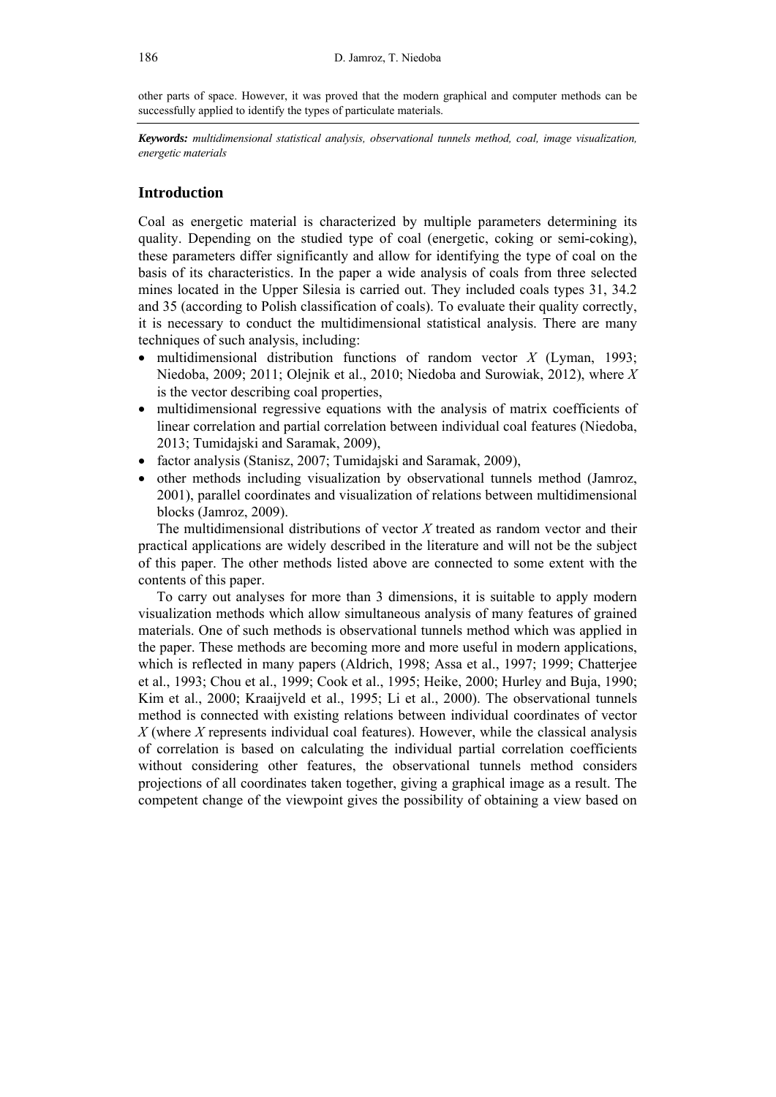other parts of space. However, it was proved that the modern graphical and computer methods can be successfully applied to identify the types of particulate materials.

*Keywords: multidimensional statistical analysis, observational tunnels method, coal, image visualization, energetic materials* 

## **Introduction**

Coal as energetic material is characterized by multiple parameters determining its quality. Depending on the studied type of coal (energetic, coking or semi-coking), these parameters differ significantly and allow for identifying the type of coal on the basis of its characteristics. In the paper a wide analysis of coals from three selected mines located in the Upper Silesia is carried out. They included coals types 31, 34.2 and 35 (according to Polish classification of coals). To evaluate their quality correctly, it is necessary to conduct the multidimensional statistical analysis. There are many techniques of such analysis, including:

- multidimensional distribution functions of random vector *X* (Lyman, 1993; Niedoba, 2009; 2011; Olejnik et al., 2010; Niedoba and Surowiak, 2012), where *X* is the vector describing coal properties,
- multidimensional regressive equations with the analysis of matrix coefficients of linear correlation and partial correlation between individual coal features (Niedoba, 2013; Tumidajski and Saramak, 2009),
- factor analysis (Stanisz, 2007; Tumidajski and Saramak, 2009),
- other methods including visualization by observational tunnels method (Jamroz, 2001), parallel coordinates and visualization of relations between multidimensional blocks (Jamroz, 2009).

The multidimensional distributions of vector *X* treated as random vector and their practical applications are widely described in the literature and will not be the subject of this paper. The other methods listed above are connected to some extent with the contents of this paper.

To carry out analyses for more than 3 dimensions, it is suitable to apply modern visualization methods which allow simultaneous analysis of many features of grained materials. One of such methods is observational tunnels method which was applied in the paper. These methods are becoming more and more useful in modern applications, which is reflected in many papers (Aldrich, 1998; Assa et al., 1997; 1999; Chatterjee et al., 1993; Chou et al., 1999; Cook et al., 1995; Heike, 2000; Hurley and Buja, 1990; Kim et al., 2000; Kraaijveld et al., 1995; Li et al., 2000). The observational tunnels method is connected with existing relations between individual coordinates of vector *X* (where *X* represents individual coal features). However, while the classical analysis of correlation is based on calculating the individual partial correlation coefficients without considering other features, the observational tunnels method considers projections of all coordinates taken together, giving a graphical image as a result. The competent change of the viewpoint gives the possibility of obtaining a view based on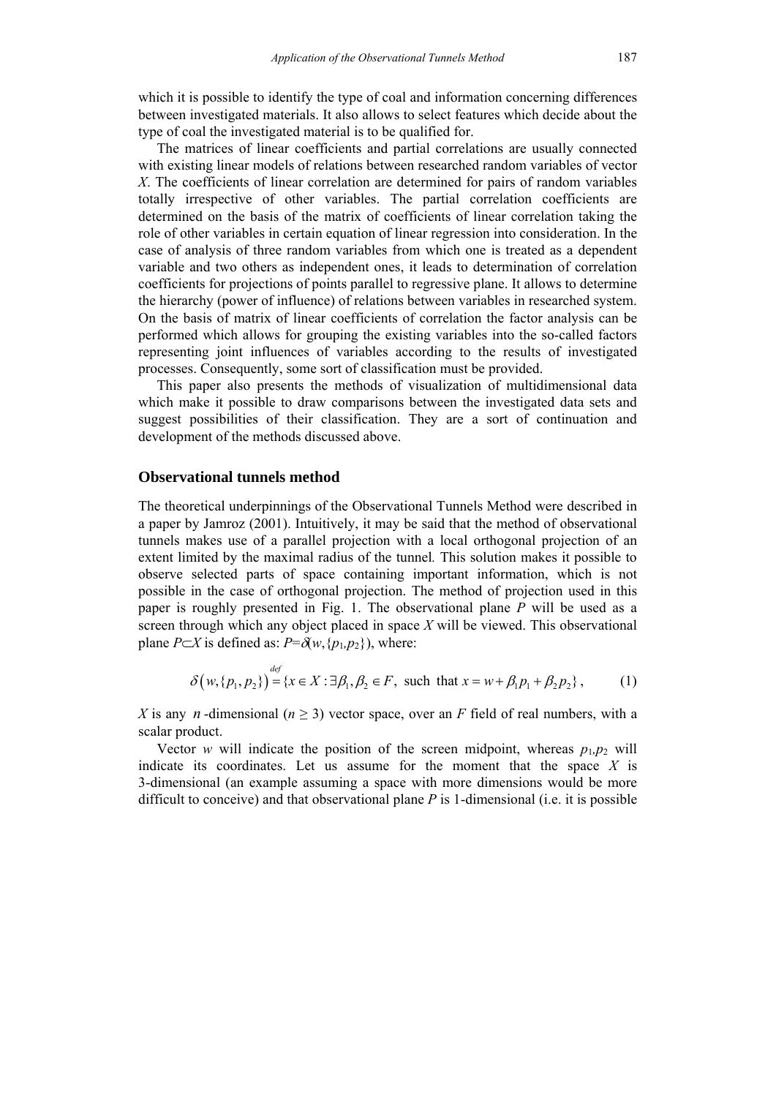which it is possible to identify the type of coal and information concerning differences between investigated materials. It also allows to select features which decide about the type of coal the investigated material is to be qualified for.

The matrices of linear coefficients and partial correlations are usually connected with existing linear models of relations between researched random variables of vector *X*. The coefficients of linear correlation are determined for pairs of random variables totally irrespective of other variables. The partial correlation coefficients are determined on the basis of the matrix of coefficients of linear correlation taking the role of other variables in certain equation of linear regression into consideration. In the case of analysis of three random variables from which one is treated as a dependent variable and two others as independent ones, it leads to determination of correlation coefficients for projections of points parallel to regressive plane. It allows to determine the hierarchy (power of influence) of relations between variables in researched system. On the basis of matrix of linear coefficients of correlation the factor analysis can be performed which allows for grouping the existing variables into the so-called factors representing joint influences of variables according to the results of investigated processes. Consequently, some sort of classification must be provided.

This paper also presents the methods of visualization of multidimensional data which make it possible to draw comparisons between the investigated data sets and suggest possibilities of their classification. They are a sort of continuation and development of the methods discussed above.

#### **Observational tunnels method**

The theoretical underpinnings of the Observational Tunnels Method were described in a paper by Jamroz (2001). Intuitively, it may be said that the method of observational tunnels makes use of a parallel projection with a local orthogonal projection of an extent limited by the maximal radius of the tunnel*.* This solution makes it possible to observe selected parts of space containing important information, which is not possible in the case of orthogonal projection. The method of projection used in this paper is roughly presented in Fig. 1. The observational plane *P* will be used as a screen through which any object placed in space *X* will be viewed. This observational plane *P* $\subset$ *X* is defined as: *P*= $\delta(w, {p_1, p_2})$ , where:

$$
\delta(w, \{p_1, p_2\}) = \{x \in X : \exists \beta_1, \beta_2 \in F, \text{ such that } x = w + \beta_1 p_1 + \beta_2 p_2\},\tag{1}
$$

*X* is any *n*-dimensional ( $n \geq 3$ ) vector space, over an *F* field of real numbers, with a scalar product.

Vector *w* will indicate the position of the screen midpoint, whereas  $p_1, p_2$  will indicate its coordinates. Let us assume for the moment that the space *X* is 3-dimensional (an example assuming a space with more dimensions would be more difficult to conceive) and that observational plane *P* is 1-dimensional (i.e. it is possible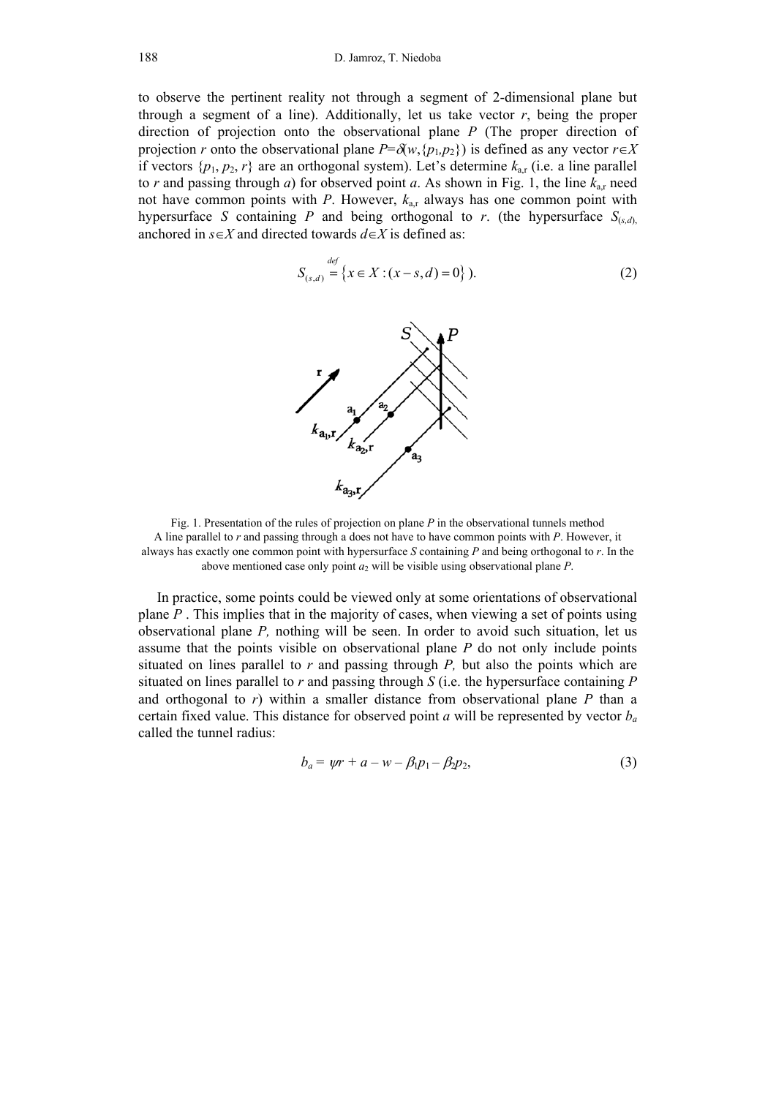to observe the pertinent reality not through a segment of 2-dimensional plane but through a segment of a line). Additionally, let us take vector  $r$ , being the proper direction of projection onto the observational plane *P* (The proper direction of projection *r* onto the observational plane  $P = \partial(w, {p_1, p_2})$  is defined as any vector  $r \in X$ if vectors  $\{p_1, p_2, r\}$  are an orthogonal system). Let's determine  $k_{\text{ar}}$  (i.e. a line parallel to *r* and passing through *a*) for observed point *a*. As shown in Fig. 1, the line  $k_{ar}$  need not have common points with *P*. However,  $k_{\text{ar}}$  always has one common point with hypersurface *S* containing *P* and being orthogonal to *r*. (the hypersurface  $S_{(s,d)}$ ) anchored in  $s \in X$  and directed towards  $d \in X$  is defined as:

$$
S_{(s,d)} \stackrel{def}{=} \{x \in X : (x - s, d) = 0\}.
$$
 (2)



Fig. 1. Presentation of the rules of projection on plane *P* in the observational tunnels method A line parallel to *r* and passing through a does not have to have common points with *P*. However, it always has exactly one common point with hypersurface *S* containing *P* and being orthogonal to *r*. In the above mentioned case only point  $a_2$  will be visible using observational plane *P*.

In practice, some points could be viewed only at some orientations of observational plane *P* . This implies that in the majority of cases, when viewing a set of points using observational plane *P,* nothing will be seen. In order to avoid such situation, let us assume that the points visible on observational plane *P* do not only include points situated on lines parallel to *r* and passing through *P,* but also the points which are situated on lines parallel to *r* and passing through *S* (i.e. the hypersurface containing *P* and orthogonal to *r*) within a smaller distance from observational plane *P* than a certain fixed value. This distance for observed point *a* will be represented by vector *ba* called the tunnel radius:

$$
b_a = \psi r + a - w - \beta_1 p_1 - \beta_2 p_2, \tag{3}
$$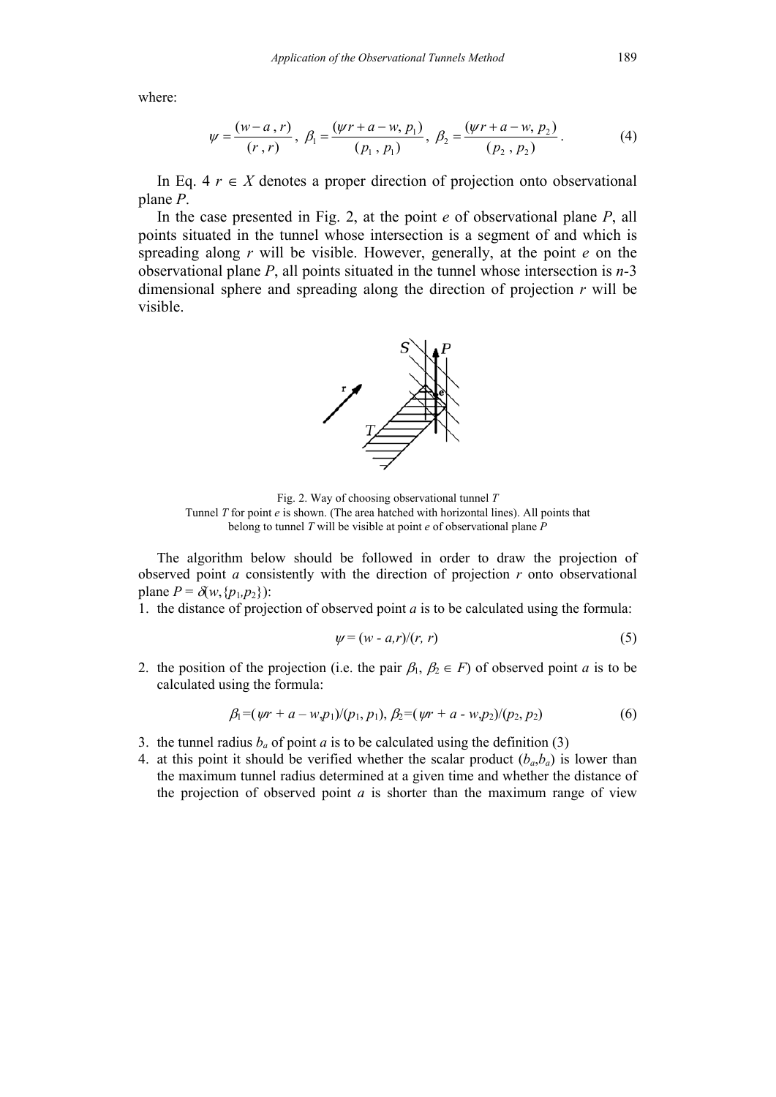where:

$$
\psi = \frac{(w-a, r)}{(r, r)}, \ \beta_1 = \frac{(wr + a - w, p_1)}{(p_1, p_1)}, \ \beta_2 = \frac{(wr + a - w, p_2)}{(p_2, p_2)}.
$$
 (4)

In Eq. 4  $r \in X$  denotes a proper direction of projection onto observational plane *P*.

In the case presented in Fig. 2, at the point *e* of observational plane *P*, all points situated in the tunnel whose intersection is a segment of and which is spreading along *r* will be visible. However, generally, at the point *e* on the observational plane *P*, all points situated in the tunnel whose intersection is *n-*3 dimensional sphere and spreading along the direction of projection *r* will be visible.



Fig. 2. Way of choosing observational tunnel *T* Tunnel *T* for point *e* is shown. (The area hatched with horizontal lines). All points that belong to tunnel *T* will be visible at point *e* of observational plane *P*

The algorithm below should be followed in order to draw the projection of observed point *a* consistently with the direction of projection *r* onto observational plane  $P = \delta(w, \{p_1, p_2\})$ :

1. the distance of projection of observed point *a* is to be calculated using the formula:

$$
\psi = (w - a, r) / (r, r) \tag{5}
$$

2. the position of the projection (i.e. the pair  $\beta_1$ ,  $\beta_2 \in F$ ) of observed point *a* is to be calculated using the formula:

$$
\beta_1 = (\psi r + a - w, p_1) / (p_1, p_1), \, \beta_2 = (\psi r + a - w, p_2) / (p_2, p_2) \tag{6}
$$

- 3. the tunnel radius  $b_a$  of point *a* is to be calculated using the definition (3)
- 4. at this point it should be verified whether the scalar product  $(b_a, b_a)$  is lower than the maximum tunnel radius determined at a given time and whether the distance of the projection of observed point *a* is shorter than the maximum range of view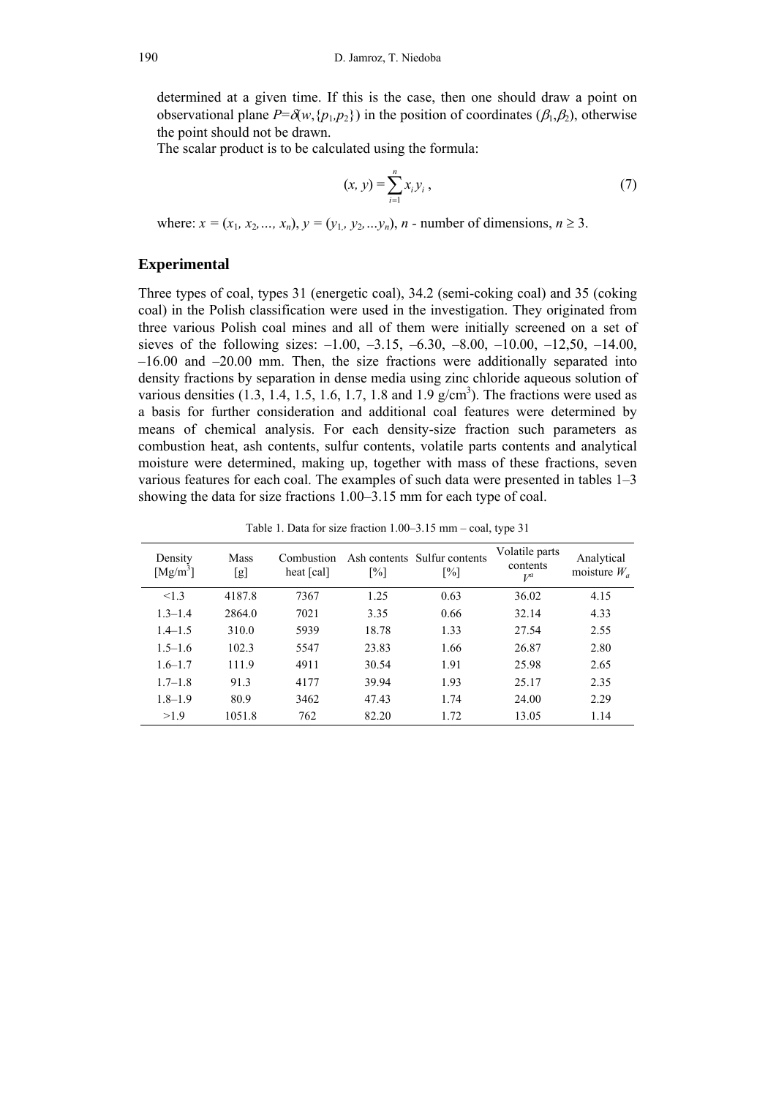determined at a given time. If this is the case, then one should draw a point on observational plane  $P = \delta(w, \{p_1, p_2\})$  in the position of coordinates ( $\beta_1, \beta_2$ ), otherwise the point should not be drawn.

The scalar product is to be calculated using the formula:

$$
(x, y) = \sum_{i=1}^{n} x_i y_i, \tag{7}
$$

where:  $x = (x_1, x_2, ..., x_n), y = (y_1, y_2, ..., y_n), n$  - number of dimensions,  $n \ge 3$ .

### **Experimental**

Three types of coal, types 31 (energetic coal), 34.2 (semi-coking coal) and 35 (coking coal) in the Polish classification were used in the investigation. They originated from three various Polish coal mines and all of them were initially screened on a set of sieves of the following sizes:  $-1.00$ ,  $-3.15$ ,  $-6.30$ ,  $-8.00$ ,  $-10.00$ ,  $-12.50$ ,  $-14.00$ , –16.00 and –20.00 mm. Then, the size fractions were additionally separated into density fractions by separation in dense media using zinc chloride aqueous solution of various densities  $(1.3, 1.4, 1.5, 1.6, 1.7, 1.8$  and  $1.9$  g/cm<sup>3</sup>). The fractions were used as a basis for further consideration and additional coal features were determined by means of chemical analysis. For each density-size fraction such parameters as combustion heat, ash contents, sulfur contents, volatile parts contents and analytical moisture were determined, making up, together with mass of these fractions, seven various features for each coal. The examples of such data were presented in tables 1–3 showing the data for size fractions 1.00–3.15 mm for each type of coal.

| Density<br>$[Mg/m^3]$ | Mass<br>[g] | Combustion<br>heat [cal] | $\lceil\% \rceil$ | Ash contents Sulfur contents<br>$\lceil\% \rceil$ | Volatile parts<br>contents<br>$V^a$ | Analytical<br>moisture $W_a$ |
|-----------------------|-------------|--------------------------|-------------------|---------------------------------------------------|-------------------------------------|------------------------------|
| < 1.3                 | 4187.8      | 7367                     | 1.25              | 0.63                                              | 36.02                               | 4.15                         |
| $1.3 - 1.4$           | 2864.0      | 7021                     | 3.35              | 0.66                                              | 32.14                               | 4.33                         |
| $1.4 - 1.5$           | 310.0       | 5939                     | 18.78             | 1.33                                              | 27.54                               | 2.55                         |
| $1.5 - 1.6$           | 102.3       | 5547                     | 23.83             | 1.66                                              | 26.87                               | 2.80                         |
| $1.6 - 1.7$           | 111.9       | 4911                     | 30.54             | 1.91                                              | 25.98                               | 2.65                         |
| $1.7 - 1.8$           | 91.3        | 4177                     | 39.94             | 1.93                                              | 25.17                               | 2.35                         |
| $1.8 - 1.9$           | 80.9        | 3462                     | 47.43             | 1.74                                              | 24.00                               | 2.29                         |
| >1.9                  | 1051.8      | 762                      | 82.20             | 1.72                                              | 13.05                               | 1.14                         |

Table 1. Data for size fraction 1.00–3.15 mm – coal, type 31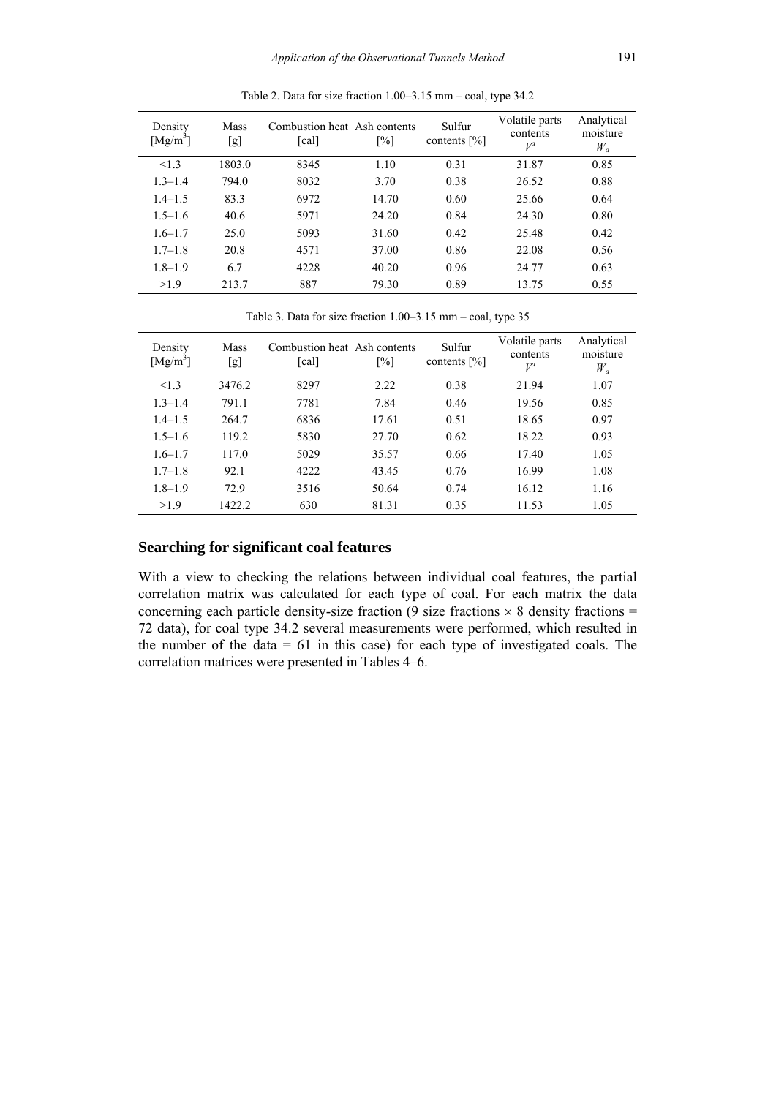| Density<br>$[Mg/m^3]$ | Mass<br>[g] | Combustion heat Ash contents<br>[cal] | $\lceil\% \rceil$ | Sulfur<br>contents $[\%]$ | Volatile parts<br>contents<br>$V^a$ | Analytical<br>moisture<br>$W_a$ |
|-----------------------|-------------|---------------------------------------|-------------------|---------------------------|-------------------------------------|---------------------------------|
| <1.3                  | 1803.0      | 8345                                  | 1.10              | 0.31                      | 31.87                               | 0.85                            |
| $1.3 - 1.4$           | 794.0       | 8032                                  | 3.70              | 0.38                      | 26.52                               | 0.88                            |
| $1.4 - 1.5$           | 83.3        | 6972                                  | 14.70             | 0.60                      | 25.66                               | 0.64                            |
| $1.5 - 1.6$           | 40.6        | 5971                                  | 24.20             | 0.84                      | 24.30                               | 0.80                            |
| $1.6 - 1.7$           | 25.0        | 5093                                  | 31.60             | 0.42                      | 25.48                               | 0.42                            |
| $1.7 - 1.8$           | 20.8        | 4571                                  | 37.00             | 0.86                      | 22.08                               | 0.56                            |
| $1.8 - 1.9$           | 6.7         | 4228                                  | 40.20             | 0.96                      | 24.77                               | 0.63                            |
| >1.9                  | 213.7       | 887                                   | 79.30             | 0.89                      | 13.75                               | 0.55                            |

Table 2. Data for size fraction 1.00–3.15 mm – coal, type 34.2

Table 3. Data for size fraction 1.00–3.15 mm – coal, type 35

| Density<br>$[Mg/m^3]$ | Mass<br>[g] | Combustion heat Ash contents<br>$\lceil \text{cal} \rceil$ | $\lceil\% \rceil$ | Sulfur<br>contents $[\%]$ | Volatile parts<br>contents<br>$V^a$ | Analytical<br>moisture<br>$W_a$ |
|-----------------------|-------------|------------------------------------------------------------|-------------------|---------------------------|-------------------------------------|---------------------------------|
| <1.3                  | 3476.2      | 8297                                                       | 2.22              | 0.38                      | 21.94                               | 1.07                            |
| $1.3 - 1.4$           | 791.1       | 7781                                                       | 7.84              | 0.46                      | 19.56                               | 0.85                            |
| $1.4 - 1.5$           | 264.7       | 6836                                                       | 17.61             | 0.51                      | 18.65                               | 0.97                            |
| $1.5 - 1.6$           | 119.2       | 5830                                                       | 27.70             | 0.62                      | 18.22                               | 0.93                            |
| $1.6 - 1.7$           | 117.0       | 5029                                                       | 35.57             | 0.66                      | 17.40                               | 1.05                            |
| $1.7 - 1.8$           | 92.1        | 4222                                                       | 43.45             | 0.76                      | 16.99                               | 1.08                            |
| $1.8 - 1.9$           | 72.9        | 3516                                                       | 50.64             | 0.74                      | 16.12                               | 1.16                            |
| >1.9                  | 1422.2      | 630                                                        | 81.31             | 0.35                      | 11.53                               | 1.05                            |

### **Searching for significant coal features**

With a view to checking the relations between individual coal features, the partial correlation matrix was calculated for each type of coal. For each matrix the data concerning each particle density-size fraction (9 size fractions  $\times$  8 density fractions = 72 data), for coal type 34.2 several measurements were performed, which resulted in the number of the data  $= 61$  in this case) for each type of investigated coals. The correlation matrices were presented in Tables 4–6.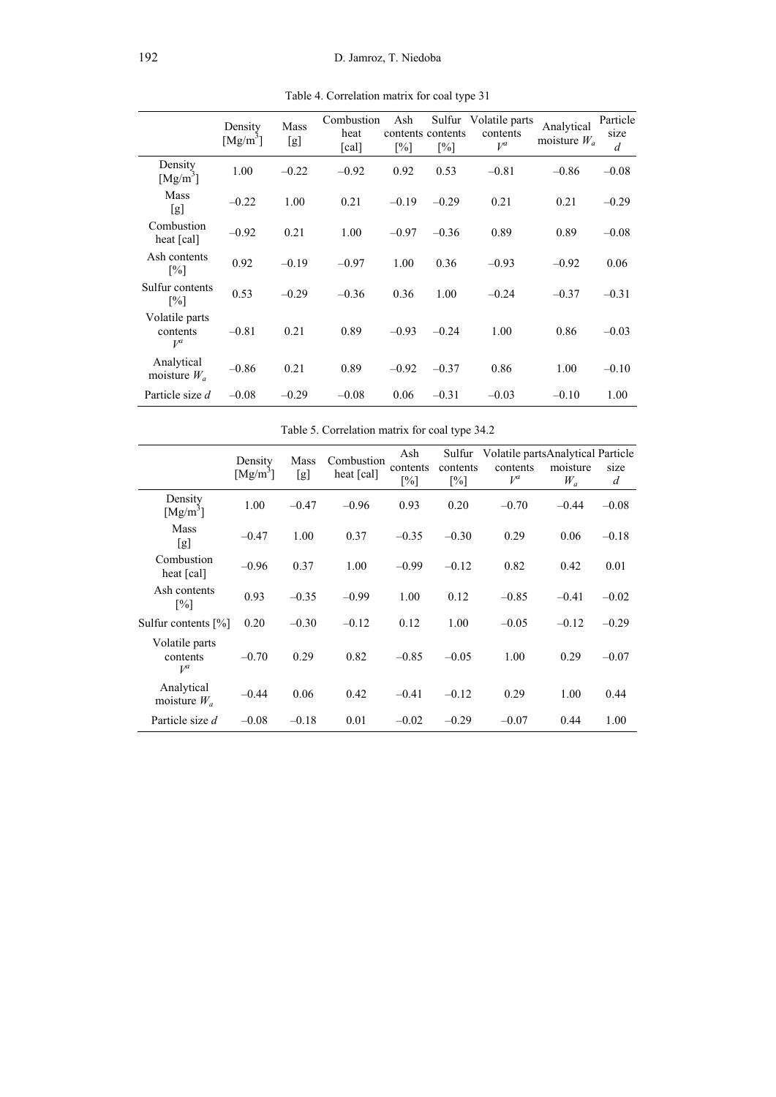|                                     | Density<br>$[Mg/m^3]$ | Mass<br>[g] | Combustion<br>heat<br>$\lceil \text{cal} \rceil$ | Ash<br>$\lceil\% \rceil$ | contents contents<br>$\lceil\% \rceil$ | Sulfur Volatile parts<br>contents<br>$V^a$ | Analytical<br>moisture $W_a$ | Particle<br>size<br>$\overline{d}$ |
|-------------------------------------|-----------------------|-------------|--------------------------------------------------|--------------------------|----------------------------------------|--------------------------------------------|------------------------------|------------------------------------|
| Density<br>[Mg/m <sup>3</sup> ]     | 1.00                  | $-0.22$     | $-0.92$                                          | 0.92                     | 0.53                                   | $-0.81$                                    | $-0.86$                      | $-0.08$                            |
| <b>Mass</b><br>[g]                  | $-0.22$               | 1.00        | 0.21                                             | $-0.19$                  | $-0.29$                                | 0.21                                       | 0.21                         | $-0.29$                            |
| Combustion<br>heat [cal]            | $-0.92$               | 0.21        | 1.00                                             | $-0.97$                  | $-0.36$                                | 0.89                                       | 0.89                         | $-0.08$                            |
| Ash contents<br>[%]                 | 0.92                  | $-0.19$     | $-0.97$                                          | 1.00                     | 0.36                                   | $-0.93$                                    | $-0.92$                      | 0.06                               |
| Sulfur contents<br>[%]              | 0.53                  | $-0.29$     | $-0.36$                                          | 0.36                     | 1.00                                   | $-0.24$                                    | $-0.37$                      | $-0.31$                            |
| Volatile parts<br>contents<br>$V^a$ | $-0.81$               | 0.21        | 0.89                                             | $-0.93$                  | $-0.24$                                | 1.00                                       | 0.86                         | $-0.03$                            |
| Analytical<br>moisture $W_a$        | $-0.86$               | 0.21        | 0.89                                             | $-0.92$                  | $-0.37$                                | 0.86                                       | 1.00                         | $-0.10$                            |
| Particle size d                     | $-0.08$               | $-0.29$     | $-0.08$                                          | 0.06                     | $-0.31$                                | $-0.03$                                    | $-0.10$                      | 1.00                               |

Table 4. Correlation matrix for coal type 31

Table 5. Correlation matrix for coal type 34.2

|                                     | Density    | Mass    | Combustion | Ash                           | Sulfur                        | Volatile partsAnalytical Particle |                   |           |
|-------------------------------------|------------|---------|------------|-------------------------------|-------------------------------|-----------------------------------|-------------------|-----------|
|                                     | $[Mg/m^3]$ | [g]     | heat [cal] | contents<br>$\lceil\% \rceil$ | contents<br>$\lceil\% \rceil$ | contents<br>$V^a$                 | moisture<br>$W_a$ | size<br>d |
| Density<br>$[Mg/m^3]$               | 1.00       | $-0.47$ | $-0.96$    | 0.93                          | 0.20                          | $-0.70$                           | $-0.44$           | $-0.08$   |
| <b>Mass</b><br>[g]                  | $-0.47$    | 1.00    | 0.37       | $-0.35$                       | $-0.30$                       | 0.29                              | 0.06              | $-0.18$   |
| Combustion<br>heat [cal]            | $-0.96$    | 0.37    | 1.00       | $-0.99$                       | $-0.12$                       | 0.82                              | 0.42              | 0.01      |
| Ash contents<br>$\lceil\% \rceil$   | 0.93       | $-0.35$ | $-0.99$    | 1.00                          | 0.12                          | $-0.85$                           | $-0.41$           | $-0.02$   |
| Sulfur contents [%]                 | 0.20       | $-0.30$ | $-0.12$    | 0.12                          | 1.00                          | $-0.05$                           | $-0.12$           | $-0.29$   |
| Volatile parts<br>contents<br>$V^a$ | $-0.70$    | 0.29    | 0.82       | $-0.85$                       | $-0.05$                       | 1.00                              | 0.29              | $-0.07$   |
| Analytical<br>moisture $W_a$        | $-0.44$    | 0.06    | 0.42       | $-0.41$                       | $-0.12$                       | 0.29                              | 1.00              | 0.44      |
| Particle size d                     | $-0.08$    | $-0.18$ | 0.01       | $-0.02$                       | $-0.29$                       | $-0.07$                           | 0.44              | 1.00      |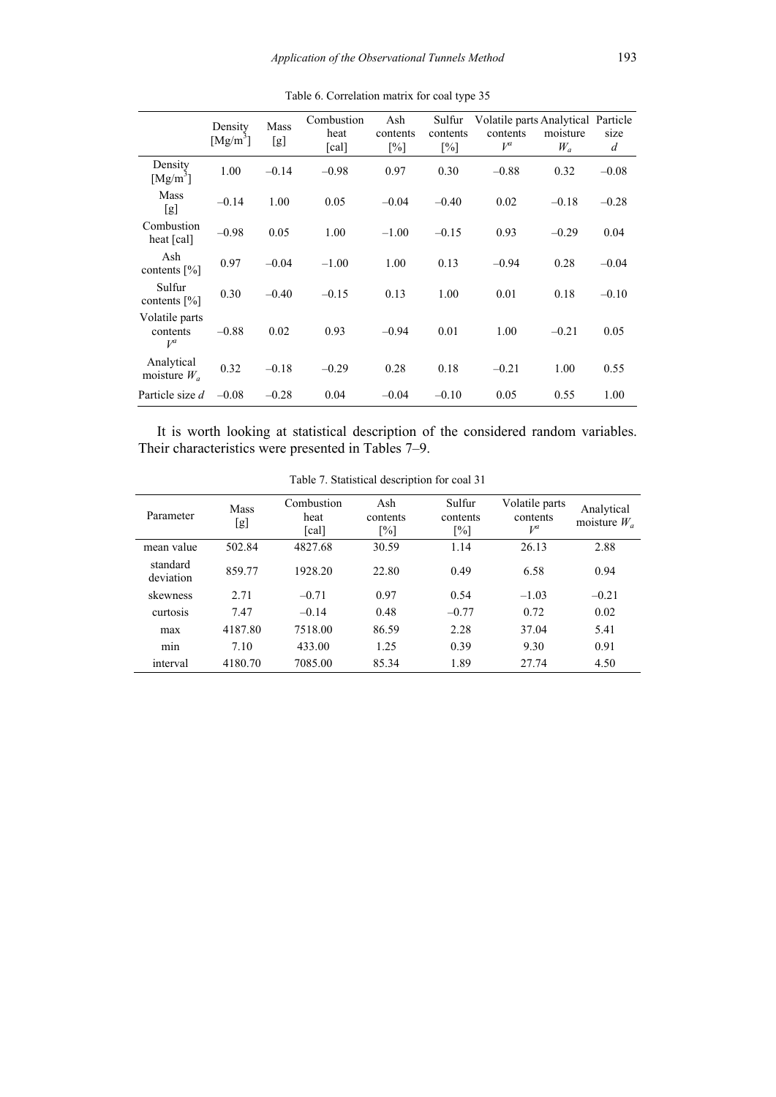|                                     | Density<br>$[Mg/m^3]$ | Mass<br>[g] | Combustion<br>heat<br>[cal] | Ash<br>contents<br>$\lceil\% \rceil$ | Sulfur<br>contents<br>[%] | Volatile parts Analytical Particle<br>contents<br>$V^a$ | moisture<br>$W_a$ | size<br>$\boldsymbol{d}$ |
|-------------------------------------|-----------------------|-------------|-----------------------------|--------------------------------------|---------------------------|---------------------------------------------------------|-------------------|--------------------------|
| Density<br>$[Mg/m^3]$               | 1.00                  | $-0.14$     | $-0.98$                     | 0.97                                 | 0.30                      | $-0.88$                                                 | 0.32              | $-0.08$                  |
| Mass<br>[g]                         | $-0.14$               | 1.00        | 0.05                        | $-0.04$                              | $-0.40$                   | 0.02                                                    | $-0.18$           | $-0.28$                  |
| Combustion<br>heat [cal]            | $-0.98$               | 0.05        | 1.00                        | $-1.00$                              | $-0.15$                   | 0.93                                                    | $-0.29$           | 0.04                     |
| Ash<br>contents $[\%]$              | 0.97                  | $-0.04$     | $-1.00$                     | 1.00                                 | 0.13                      | $-0.94$                                                 | 0.28              | $-0.04$                  |
| Sulfur<br>contents $[\%]$           | 0.30                  | $-0.40$     | $-0.15$                     | 0.13                                 | 1.00                      | 0.01                                                    | 0.18              | $-0.10$                  |
| Volatile parts<br>contents<br>$V^a$ | $-0.88$               | 0.02        | 0.93                        | $-0.94$                              | 0.01                      | 1.00                                                    | $-0.21$           | 0.05                     |
| Analytical<br>moisture $W_a$        | 0.32                  | $-0.18$     | $-0.29$                     | 0.28                                 | 0.18                      | $-0.21$                                                 | 1.00              | 0.55                     |
| Particle size d                     | $-0.08$               | $-0.28$     | 0.04                        | $-0.04$                              | $-0.10$                   | 0.05                                                    | 0.55              | 1.00                     |

Table 6. Correlation matrix for coal type 35

It is worth looking at statistical description of the considered random variables. Their characteristics were presented in Tables 7–9.

| Parameter             | <b>Mass</b><br>[g] | Combustion<br>heat<br>$\lceil \text{cal} \rceil$ | Ash<br>contents<br>$\lceil\% \rceil$ | Sulfur<br>contents<br>$\lceil\% \rceil$ | Volatile parts<br>contents<br>$V^a$ | Analytical<br>moisture $W_a$ |
|-----------------------|--------------------|--------------------------------------------------|--------------------------------------|-----------------------------------------|-------------------------------------|------------------------------|
| mean value            | 502.84             | 4827.68                                          | 30.59                                | 1.14                                    | 26.13                               | 2.88                         |
| standard<br>deviation | 859.77             | 1928.20                                          | 22.80                                | 0.49                                    | 6.58                                | 0.94                         |
| skewness              | 2.71               | $-0.71$                                          | 0.97                                 | 0.54                                    | $-1.03$                             | $-0.21$                      |
| curtosis              | 7.47               | $-0.14$                                          | 0.48                                 | $-0.77$                                 | 0.72                                | 0.02                         |
| max                   | 4187.80            | 7518.00                                          | 86.59                                | 2.28                                    | 37.04                               | 5.41                         |
| min                   | 7.10               | 433.00                                           | 1.25                                 | 0.39                                    | 9.30                                | 0.91                         |
| interval              | 4180.70            | 7085.00                                          | 85.34                                | 1.89                                    | 27.74                               | 4.50                         |

Table 7. Statistical description for coal 31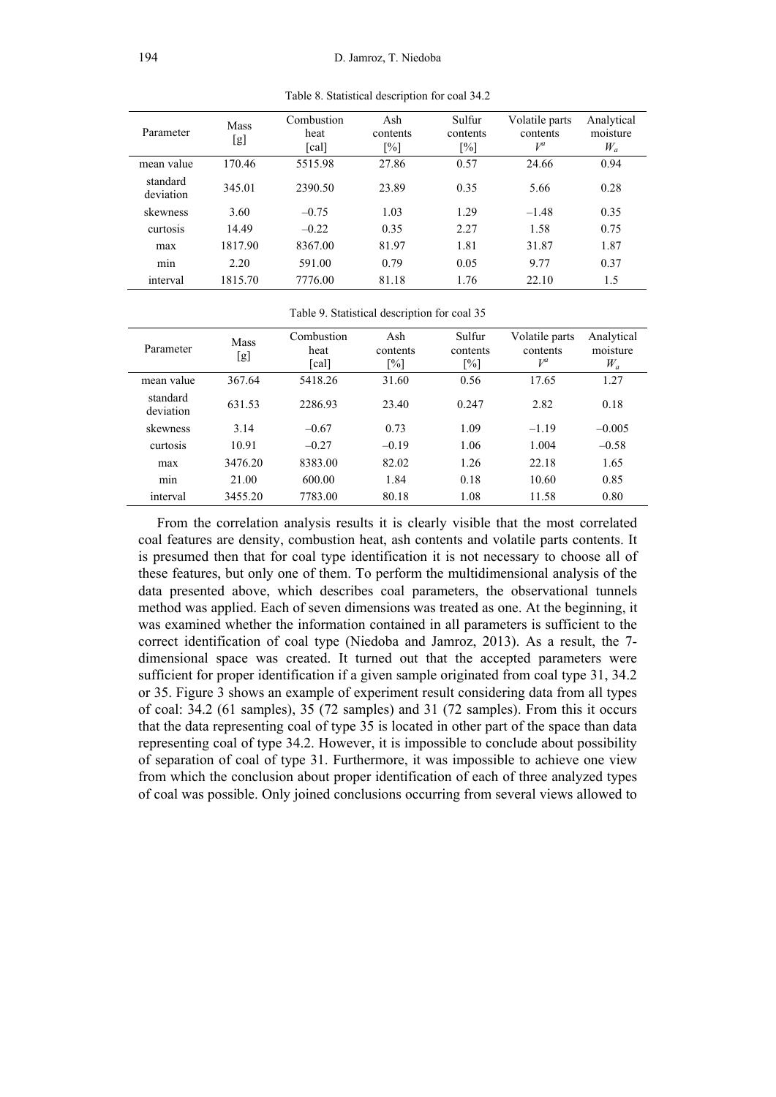|                       | <b>Mass</b> | Combustion                 | Ash               | Sulfur            | Volatile parts | Analytical |
|-----------------------|-------------|----------------------------|-------------------|-------------------|----------------|------------|
| Parameter             | [g]         | heat                       | contents          | contents          | contents       | moisture   |
|                       |             | $\lceil \text{cal} \rceil$ | $\lceil\% \rceil$ | $\lceil\% \rceil$ | $V^a$          | $W_a$      |
| mean value            | 170.46      | 5515.98                    | 27.86             | 0.57              | 24.66          | 0.94       |
| standard<br>deviation | 345.01      | 2390.50                    | 23.89             | 0.35              | 5.66           | 0.28       |
| skewness              | 3.60        | $-0.75$                    | 1.03              | 1.29              | $-1.48$        | 0.35       |
| curtosis              | 14.49       | $-0.22$                    | 0.35              | 2.27              | 1.58           | 0.75       |
| max                   | 1817.90     | 8367.00                    | 81.97             | 1.81              | 31.87          | 1.87       |
| min                   | 2.20        | 591.00                     | 0.79              | 0.05              | 9.77           | 0.37       |
| interval              | 1815.70     | 7776.00                    | 81.18             | 1.76              | 22.10          | 1.5        |

Table 8. Statistical description for coal 34.2

Table 9. Statistical description for coal 35

| Parameter             | <b>Mass</b><br>[g] | Combustion<br>heat<br>$\lceil \text{cal} \rceil$ | Ash<br>contents<br>$\lceil \% \rceil$ | Sulfur<br>contents<br>[%] | Volatile parts<br>contents<br>$V^a$ | Analytical<br>moisture<br>$W_a$ |
|-----------------------|--------------------|--------------------------------------------------|---------------------------------------|---------------------------|-------------------------------------|---------------------------------|
| mean value            | 367.64             | 5418.26                                          | 31.60                                 | 0.56                      | 17.65                               | 1.27                            |
| standard<br>deviation | 631.53             | 2286.93                                          | 23.40                                 | 0.247                     | 2.82                                | 0.18                            |
| skewness              | 3.14               | $-0.67$                                          | 0.73                                  | 1.09                      | $-1.19$                             | $-0.005$                        |
| curtosis              | 10.91              | $-0.27$                                          | $-0.19$                               | 1.06                      | 1.004                               | $-0.58$                         |
| max                   | 3476.20            | 8383.00                                          | 82.02                                 | 1.26                      | 22.18                               | 1.65                            |
| min                   | 21.00              | 600.00                                           | 1.84                                  | 0.18                      | 10.60                               | 0.85                            |
| interval              | 3455.20            | 7783.00                                          | 80.18                                 | 1.08                      | 11.58                               | 0.80                            |

From the correlation analysis results it is clearly visible that the most correlated coal features are density, combustion heat, ash contents and volatile parts contents. It is presumed then that for coal type identification it is not necessary to choose all of these features, but only one of them. To perform the multidimensional analysis of the data presented above, which describes coal parameters, the observational tunnels method was applied. Each of seven dimensions was treated as one. At the beginning, it was examined whether the information contained in all parameters is sufficient to the correct identification of coal type (Niedoba and Jamroz, 2013). As a result, the 7 dimensional space was created. It turned out that the accepted parameters were sufficient for proper identification if a given sample originated from coal type 31, 34.2 or 35. Figure 3 shows an example of experiment result considering data from all types of coal: 34.2 (61 samples), 35 (72 samples) and 31 (72 samples). From this it occurs that the data representing coal of type 35 is located in other part of the space than data representing coal of type 34.2. However, it is impossible to conclude about possibility of separation of coal of type 31. Furthermore, it was impossible to achieve one view from which the conclusion about proper identification of each of three analyzed types of coal was possible. Only joined conclusions occurring from several views allowed to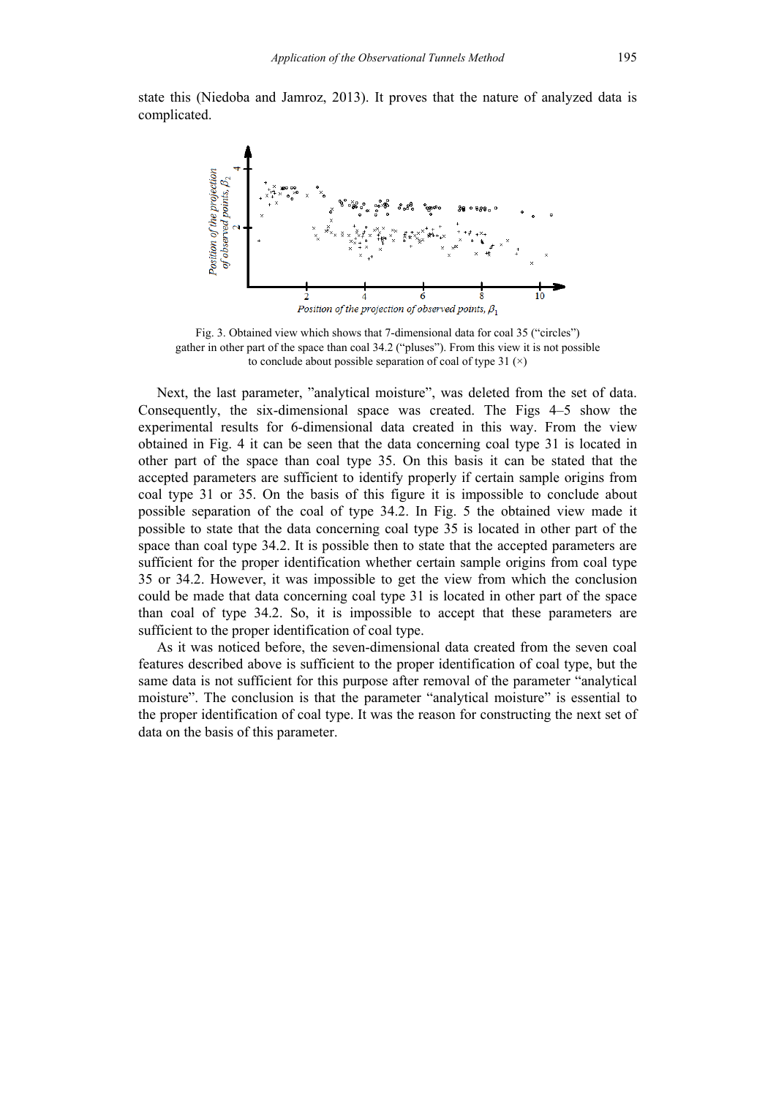state this (Niedoba and Jamroz, 2013). It proves that the nature of analyzed data is complicated.



Fig. 3. Obtained view which shows that 7-dimensional data for coal 35 ("circles") gather in other part of the space than coal 34.2 ("pluses"). From this view it is not possible to conclude about possible separation of coal of type 31  $(\times)$ 

Next, the last parameter, "analytical moisture", was deleted from the set of data. Consequently, the six-dimensional space was created. The Figs 4–5 show the experimental results for 6-dimensional data created in this way. From the view obtained in Fig. 4 it can be seen that the data concerning coal type 31 is located in other part of the space than coal type 35. On this basis it can be stated that the accepted parameters are sufficient to identify properly if certain sample origins from coal type 31 or 35. On the basis of this figure it is impossible to conclude about possible separation of the coal of type 34.2. In Fig. 5 the obtained view made it possible to state that the data concerning coal type 35 is located in other part of the space than coal type 34.2. It is possible then to state that the accepted parameters are sufficient for the proper identification whether certain sample origins from coal type 35 or 34.2. However, it was impossible to get the view from which the conclusion could be made that data concerning coal type 31 is located in other part of the space than coal of type 34.2. So, it is impossible to accept that these parameters are sufficient to the proper identification of coal type.

As it was noticed before, the seven-dimensional data created from the seven coal features described above is sufficient to the proper identification of coal type, but the same data is not sufficient for this purpose after removal of the parameter "analytical moisture". The conclusion is that the parameter "analytical moisture" is essential to the proper identification of coal type. It was the reason for constructing the next set of data on the basis of this parameter.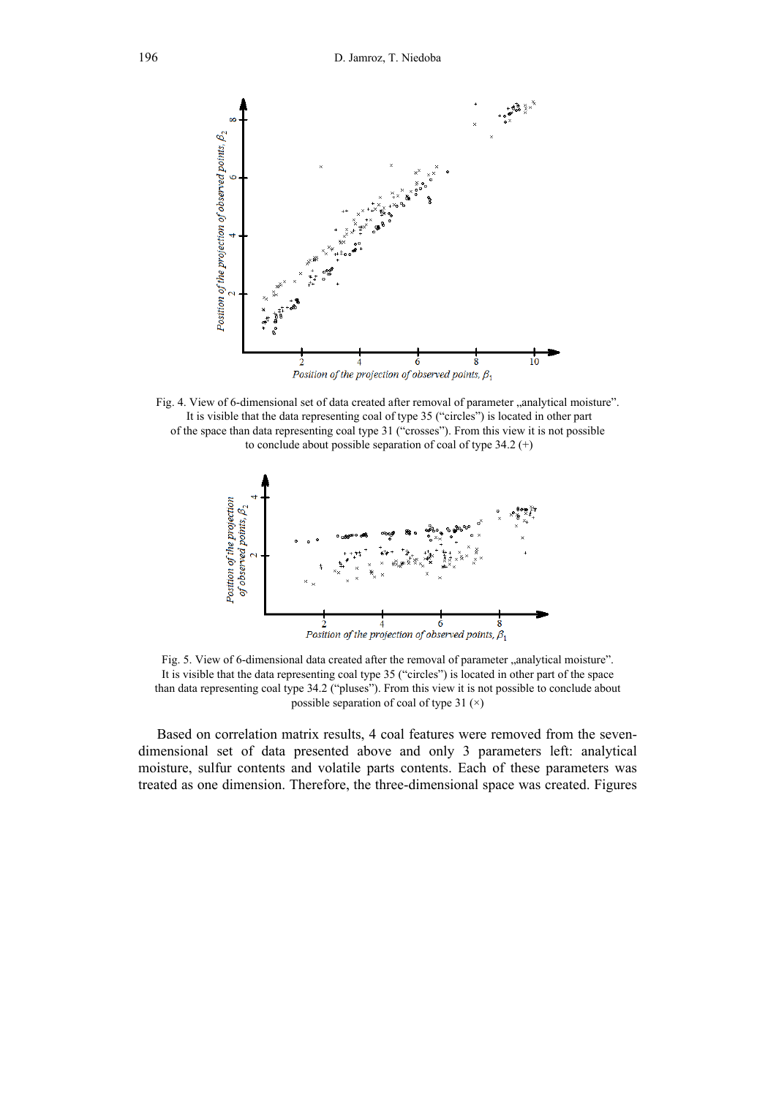

Fig. 4. View of 6-dimensional set of data created after removal of parameter "analytical moisture". It is visible that the data representing coal of type 35 ("circles") is located in other part of the space than data representing coal type 31 ("crosses"). From this view it is not possible to conclude about possible separation of coal of type  $34.2$  (+)



Fig. 5. View of 6-dimensional data created after the removal of parameter  $\alpha$  analytical moisture". It is visible that the data representing coal type 35 ("circles") is located in other part of the space than data representing coal type 34.2 ("pluses"). From this view it is not possible to conclude about possible separation of coal of type 31  $(\times)$ 

Based on correlation matrix results, 4 coal features were removed from the sevendimensional set of data presented above and only 3 parameters left: analytical moisture, sulfur contents and volatile parts contents. Each of these parameters was treated as one dimension. Therefore, the three-dimensional space was created. Figures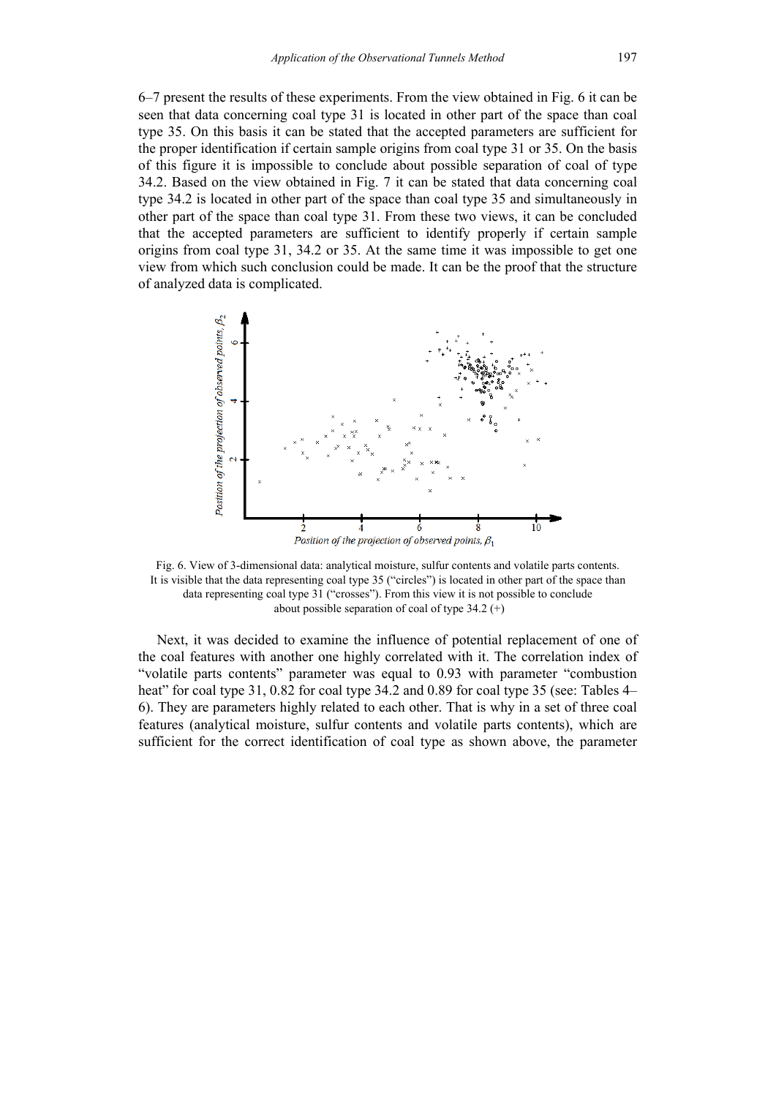6–7 present the results of these experiments. From the view obtained in Fig. 6 it can be seen that data concerning coal type 31 is located in other part of the space than coal type 35. On this basis it can be stated that the accepted parameters are sufficient for the proper identification if certain sample origins from coal type 31 or 35. On the basis of this figure it is impossible to conclude about possible separation of coal of type 34.2. Based on the view obtained in Fig. 7 it can be stated that data concerning coal type 34.2 is located in other part of the space than coal type 35 and simultaneously in other part of the space than coal type 31. From these two views, it can be concluded that the accepted parameters are sufficient to identify properly if certain sample origins from coal type 31, 34.2 or 35. At the same time it was impossible to get one view from which such conclusion could be made. It can be the proof that the structure of analyzed data is complicated.



Fig. 6. View of 3-dimensional data: analytical moisture, sulfur contents and volatile parts contents. It is visible that the data representing coal type 35 ("circles") is located in other part of the space than data representing coal type 31 ("crosses"). From this view it is not possible to conclude about possible separation of coal of type  $34.2$  (+)

Next, it was decided to examine the influence of potential replacement of one of the coal features with another one highly correlated with it. The correlation index of "volatile parts contents" parameter was equal to 0.93 with parameter "combustion heat" for coal type 31, 0.82 for coal type 34.2 and 0.89 for coal type 35 (see: Tables 4– 6). They are parameters highly related to each other. That is why in a set of three coal features (analytical moisture, sulfur contents and volatile parts contents), which are sufficient for the correct identification of coal type as shown above, the parameter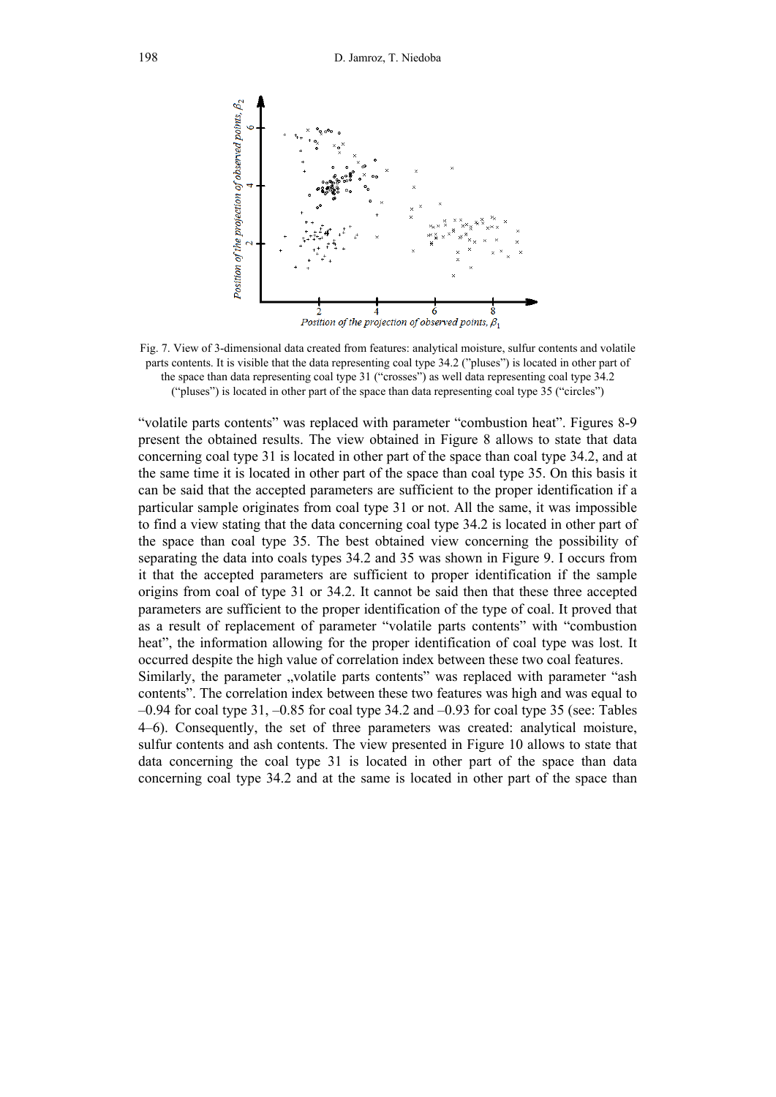

Fig. 7. View of 3-dimensional data created from features: analytical moisture, sulfur contents and volatile parts contents. It is visible that the data representing coal type 34.2 ("pluses") is located in other part of the space than data representing coal type 31 ("crosses") as well data representing coal type 34.2 ("pluses") is located in other part of the space than data representing coal type 35 ("circles")

"volatile parts contents" was replaced with parameter "combustion heat". Figures 8-9 present the obtained results. The view obtained in Figure 8 allows to state that data concerning coal type 31 is located in other part of the space than coal type 34.2, and at the same time it is located in other part of the space than coal type 35. On this basis it can be said that the accepted parameters are sufficient to the proper identification if a particular sample originates from coal type 31 or not. All the same, it was impossible to find a view stating that the data concerning coal type 34.2 is located in other part of the space than coal type 35. The best obtained view concerning the possibility of separating the data into coals types 34.2 and 35 was shown in Figure 9. I occurs from it that the accepted parameters are sufficient to proper identification if the sample origins from coal of type 31 or 34.2. It cannot be said then that these three accepted parameters are sufficient to the proper identification of the type of coal. It proved that as a result of replacement of parameter "volatile parts contents" with "combustion heat", the information allowing for the proper identification of coal type was lost. It occurred despite the high value of correlation index between these two coal features. Similarly, the parameter "volatile parts contents" was replaced with parameter "ash contents". The correlation index between these two features was high and was equal to  $-0.94$  for coal type 31,  $-0.85$  for coal type 34.2 and  $-0.93$  for coal type 35 (see: Tables 4–6). Consequently, the set of three parameters was created: analytical moisture,

sulfur contents and ash contents. The view presented in Figure 10 allows to state that data concerning the coal type 31 is located in other part of the space than data concerning coal type 34.2 and at the same is located in other part of the space than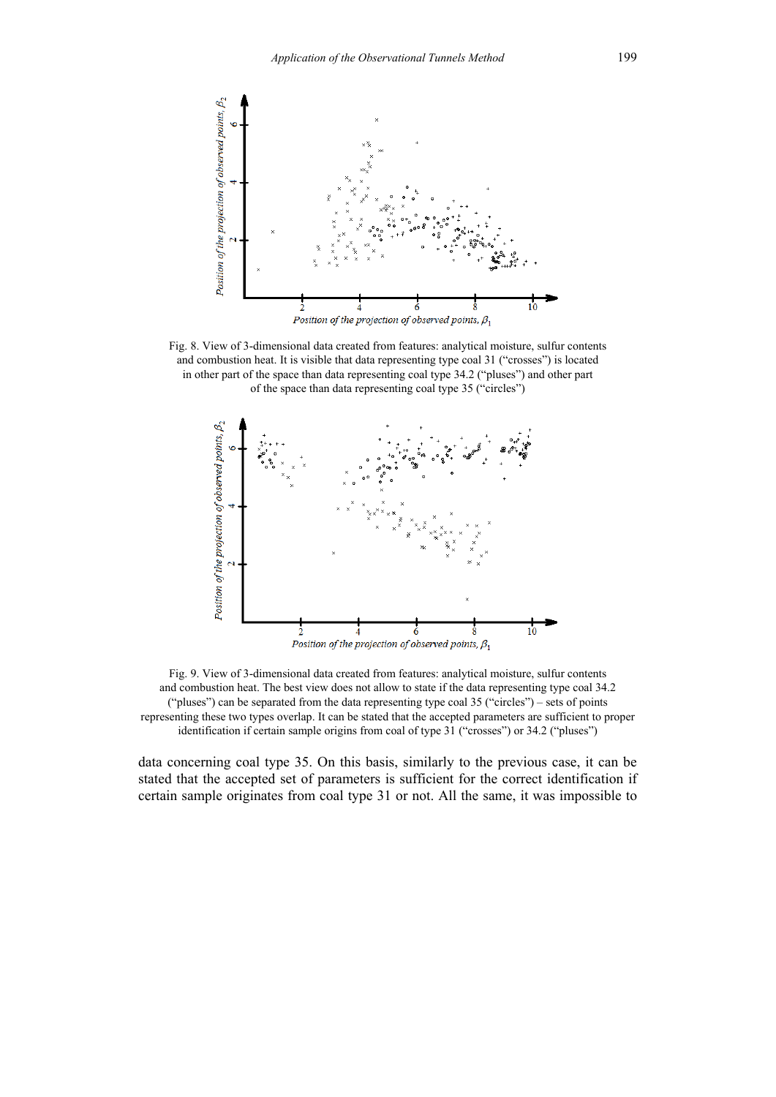

Fig. 8. View of 3-dimensional data created from features: analytical moisture, sulfur contents and combustion heat. It is visible that data representing type coal 31 ("crosses") is located in other part of the space than data representing coal type 34.2 ("pluses") and other part of the space than data representing coal type 35 ("circles")



Fig. 9. View of 3-dimensional data created from features: analytical moisture, sulfur contents and combustion heat. The best view does not allow to state if the data representing type coal 34.2 ("pluses") can be separated from the data representing type coal 35 ("circles") – sets of points representing these two types overlap. It can be stated that the accepted parameters are sufficient to proper identification if certain sample origins from coal of type 31 ("crosses") or 34.2 ("pluses")

data concerning coal type 35. On this basis, similarly to the previous case, it can be stated that the accepted set of parameters is sufficient for the correct identification if certain sample originates from coal type 31 or not. All the same, it was impossible to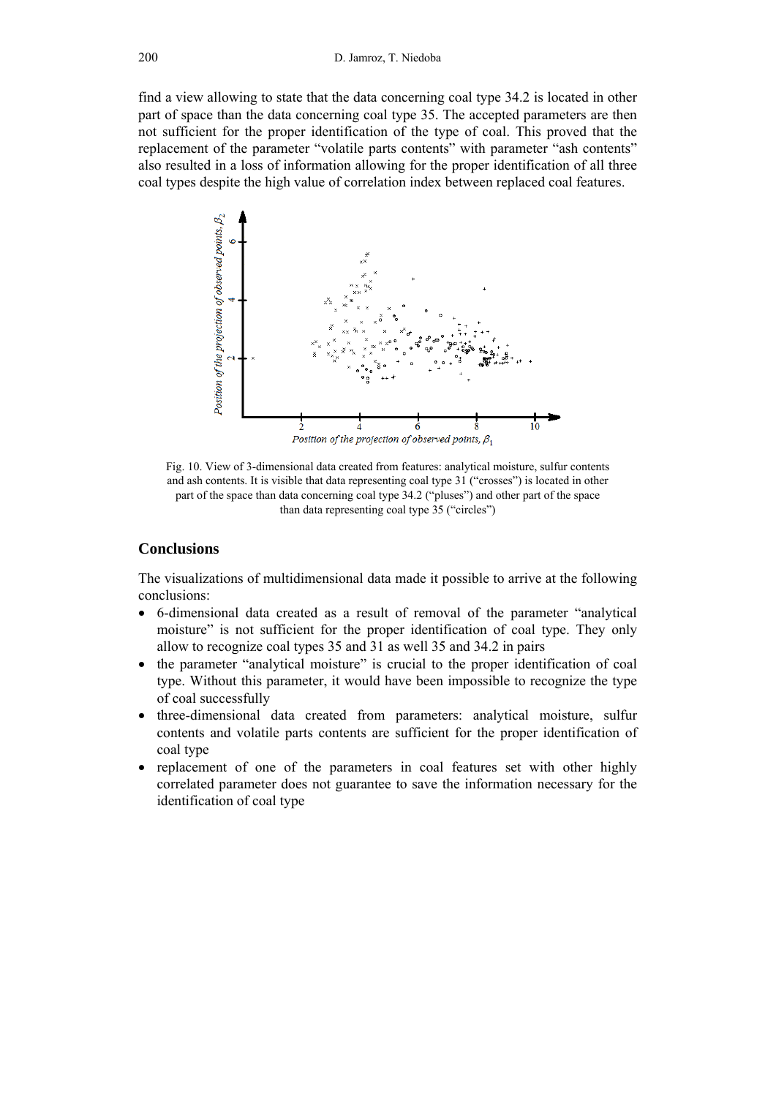find a view allowing to state that the data concerning coal type 34.2 is located in other part of space than the data concerning coal type 35. The accepted parameters are then not sufficient for the proper identification of the type of coal. This proved that the replacement of the parameter "volatile parts contents" with parameter "ash contents" also resulted in a loss of information allowing for the proper identification of all three coal types despite the high value of correlation index between replaced coal features.



Fig. 10. View of 3-dimensional data created from features: analytical moisture, sulfur contents and ash contents. It is visible that data representing coal type 31 ("crosses") is located in other part of the space than data concerning coal type 34.2 ("pluses") and other part of the space than data representing coal type 35 ("circles")

## **Conclusions**

The visualizations of multidimensional data made it possible to arrive at the following conclusions:

- 6-dimensional data created as a result of removal of the parameter "analytical moisture" is not sufficient for the proper identification of coal type. They only allow to recognize coal types 35 and 31 as well 35 and 34.2 in pairs
- the parameter "analytical moisture" is crucial to the proper identification of coal type. Without this parameter, it would have been impossible to recognize the type of coal successfully
- three-dimensional data created from parameters: analytical moisture, sulfur contents and volatile parts contents are sufficient for the proper identification of coal type
- replacement of one of the parameters in coal features set with other highly correlated parameter does not guarantee to save the information necessary for the identification of coal type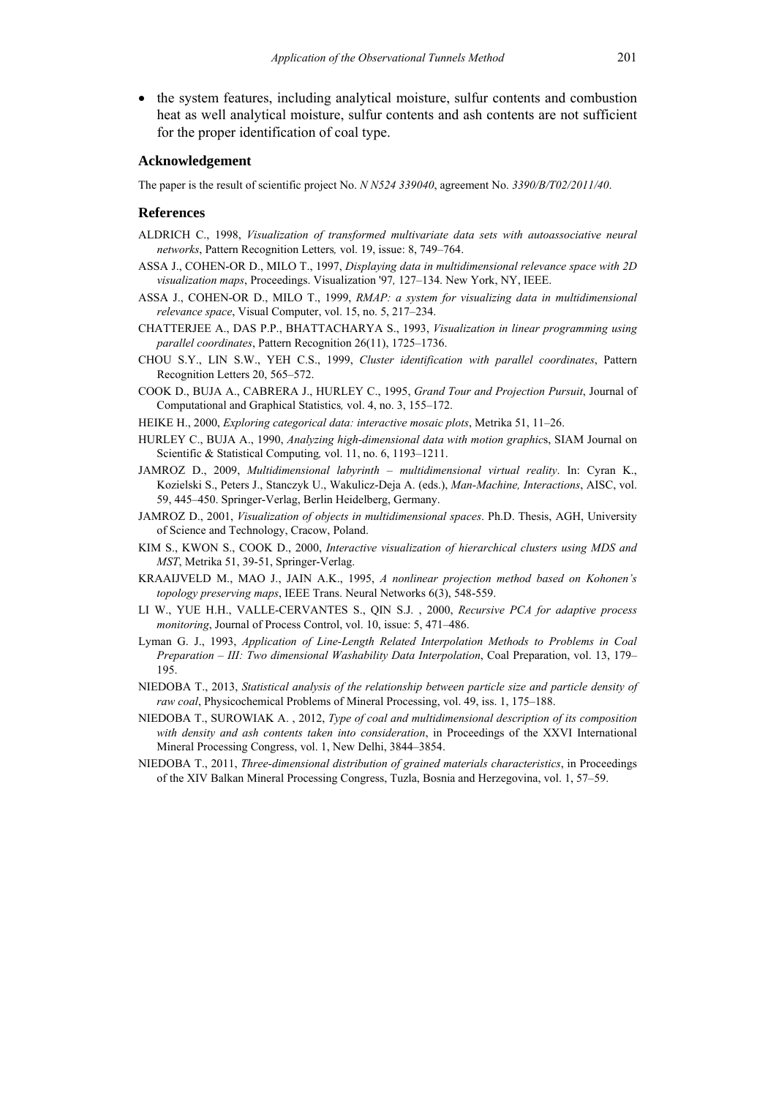the system features, including analytical moisture, sulfur contents and combustion heat as well analytical moisture, sulfur contents and ash contents are not sufficient for the proper identification of coal type.

#### **Acknowledgement**

The paper is the result of scientific project No. *N N524 339040*, agreement No. *3390/B/T02/2011/40*.

#### **References**

- ALDRICH C., 1998, *Visualization of transformed multivariate data sets with autoassociative neural networks*, Pattern Recognition Letters*,* vol. 19, issue: 8, 749–764.
- ASSA J., COHEN-OR D., MILO T., 1997, *Displaying data in multidimensional relevance space with 2D visualization maps*, Proceedings. Visualization '97*,* 127–134. New York, NY, IEEE.
- ASSA J., COHEN-OR D., MILO T., 1999, *RMAP: a system for visualizing data in multidimensional relevance space*, Visual Computer, vol. 15, no. 5, 217–234.
- CHATTERJEE A., DAS P.P., BHATTACHARYA S., 1993, *Visualization in linear programming using parallel coordinates*, Pattern Recognition 26(11), 1725–1736.
- CHOU S.Y., LIN S.W., YEH C.S., 1999, *Cluster identification with parallel coordinates*, Pattern Recognition Letters 20, 565–572.
- COOK D., BUJA A., CABRERA J., HURLEY C., 1995, *Grand Tour and Projection Pursuit*, Journal of Computational and Graphical Statistics*,* vol. 4, no. 3, 155–172.
- HEIKE H., 2000, *Exploring categorical data: interactive mosaic plots*, Metrika 51, 11–26.
- HURLEY C., BUJA A., 1990, *Analyzing high-dimensional data with motion graphic*s, SIAM Journal on Scientific & Statistical Computing*,* vol. 11, no. 6, 1193–1211.
- JAMROZ D., 2009, *Multidimensional labyrinth multidimensional virtual reality*. In: Cyran K., Kozielski S., Peters J., Stanczyk U., Wakulicz-Deja A. (eds.), *Man-Machine, Interactions*, AISC, vol. 59, 445–450. Springer-Verlag, Berlin Heidelberg, Germany.
- JAMROZ D., 2001, *Visualization of objects in multidimensional spaces*. Ph.D. Thesis, AGH, University of Science and Technology, Cracow, Poland.
- KIM S., KWON S., COOK D., 2000, *Interactive visualization of hierarchical clusters using MDS and MST*, Metrika 51, 39-51, Springer-Verlag.
- KRAAIJVELD M., MAO J., JAIN A.K., 1995, *A nonlinear projection method based on Kohonen's topology preserving maps*, IEEE Trans. Neural Networks 6(3), 548-559.
- LI W., YUE H.H., VALLE-CERVANTES S., QIN S.J. , 2000, *Recursive PCA for adaptive process monitoring*, Journal of Process Control, vol. 10, issue: 5, 471–486.
- Lyman G. J., 1993, *Application of Line-Length Related Interpolation Methods to Problems in Coal Preparation – III: Two dimensional Washability Data Interpolation*, Coal Preparation, vol. 13, 179– 195.
- NIEDOBA T., 2013, *Statistical analysis of the relationship between particle size and particle density of raw coal*, Physicochemical Problems of Mineral Processing, vol. 49, iss. 1, 175–188.
- NIEDOBA T., SUROWIAK A. , 2012, *Type of coal and multidimensional description of its composition with density and ash contents taken into consideration*, in Proceedings of the XXVI International Mineral Processing Congress, vol. 1, New Delhi, 3844–3854.
- NIEDOBA T., 2011, *Three-dimensional distribution of grained materials characteristics*, in Proceedings of the XIV Balkan Mineral Processing Congress, Tuzla, Bosnia and Herzegovina, vol. 1, 57–59.